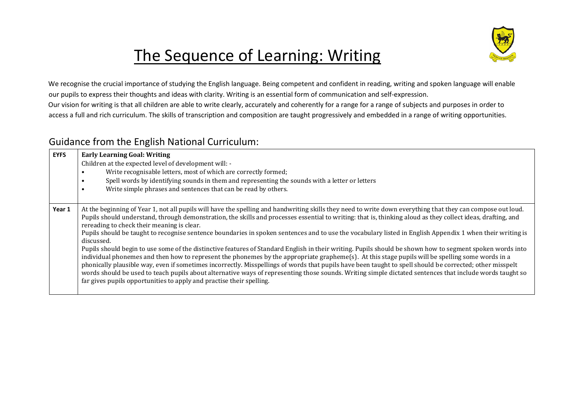

## The Sequence of Learning: Writing

We recognise the crucial importance of studying the English language. Being competent and confident in reading, writing and spoken language will enable our pupils to express their thoughts and ideas with clarity. Writing is an essential form of communication and self-expression. Our vision for writing is that all children are able to write clearly, accurately and coherently for a range for a range of subjects and purposes in order to access a full and rich curriculum. The skills of transcription and composition are taught progressively and embedded in a range of writing opportunities.

## Guidance from the English National Curriculum:

| <b>EYFS</b> | <b>Early Learning Goal: Writing</b><br>Children at the expected level of development will: -<br>Write recognisable letters, most of which are correctly formed;<br>Spell words by identifying sounds in them and representing the sounds with a letter or letters<br>$\bullet$<br>Write simple phrases and sentences that can be read by others.<br>$\bullet$                                                                                                                                                                                                                                                                                                                                                                                                                                                                                                                                                                                                                                                                                                                                                                                                                                                                                                         |
|-------------|-----------------------------------------------------------------------------------------------------------------------------------------------------------------------------------------------------------------------------------------------------------------------------------------------------------------------------------------------------------------------------------------------------------------------------------------------------------------------------------------------------------------------------------------------------------------------------------------------------------------------------------------------------------------------------------------------------------------------------------------------------------------------------------------------------------------------------------------------------------------------------------------------------------------------------------------------------------------------------------------------------------------------------------------------------------------------------------------------------------------------------------------------------------------------------------------------------------------------------------------------------------------------|
| Year 1      | At the beginning of Year 1, not all pupils will have the spelling and handwriting skills they need to write down everything that they can compose out loud.<br>Pupils should understand, through demonstration, the skills and processes essential to writing: that is, thinking aloud as they collect ideas, drafting, and<br>rereading to check their meaning is clear.<br>Pupils should be taught to recognise sentence boundaries in spoken sentences and to use the vocabulary listed in English Appendix 1 when their writing is<br>discussed.<br>Pupils should begin to use some of the distinctive features of Standard English in their writing. Pupils should be shown how to segment spoken words into<br>individual phonemes and then how to represent the phonemes by the appropriate grapheme(s). At this stage pupils will be spelling some words in a<br>phonically plausible way, even if sometimes incorrectly. Misspellings of words that pupils have been taught to spell should be corrected; other misspelt<br>words should be used to teach pupils about alternative ways of representing those sounds. Writing simple dictated sentences that include words taught so<br>far gives pupils opportunities to apply and practise their spelling. |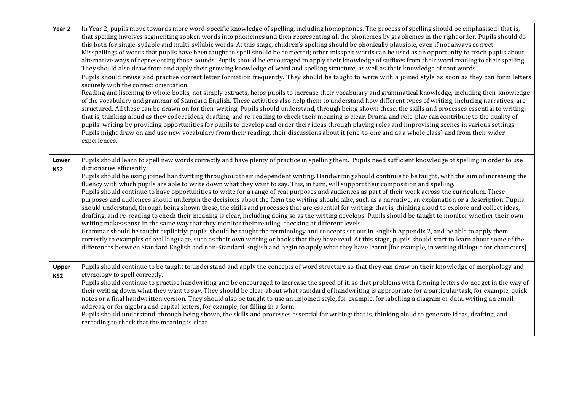| Year 2                   | In Year 2, pupils move towards more word-specific knowledge of spelling, including homophones. The process of spelling should be emphasised: that is,<br>that spelling involves segmenting spoken words into phonemes and then representing all the phonemes by graphemes in the right order. Pupils should do<br>this both for single-syllable and multi-syllabic words. At this stage, children's spelling should be phonically plausible, even if not always correct.<br>Misspellings of words that pupils have been taught to spell should be corrected; other misspelt words can be used as an opportunity to teach pupils about<br>alternative ways of representing those sounds. Pupils should be encouraged to apply their knowledge of suffixes from their word reading to their spelling.<br>They should also draw from and apply their growing knowledge of word and spelling structure, as well as their knowledge of root words.<br>Pupils should revise and practise correct letter formation frequently. They should be taught to write with a joined style as soon as they can form letters<br>securely with the correct orientation.<br>Reading and listening to whole books, not simply extracts, helps pupils to increase their vocabulary and grammatical knowledge, including their knowledge<br>of the vocabulary and grammar of Standard English. These activities also help them to understand how different types of writing, including narratives, are<br>structured. All these can be drawn on for their writing. Pupils should understand, through being shown these, the skills and processes essential to writing:<br>that is, thinking aloud as they collect ideas, drafting, and re-reading to check their meaning is clear. Drama and role-play can contribute to the quality of<br>pupils' writing by providing opportunities for pupils to develop and order their ideas through playing roles and improvising scenes in various settings.<br>Pupils might draw on and use new vocabulary from their reading, their discussions about it (one-to-one and as a whole class) and from their wider<br>experiences. |
|--------------------------|----------------------------------------------------------------------------------------------------------------------------------------------------------------------------------------------------------------------------------------------------------------------------------------------------------------------------------------------------------------------------------------------------------------------------------------------------------------------------------------------------------------------------------------------------------------------------------------------------------------------------------------------------------------------------------------------------------------------------------------------------------------------------------------------------------------------------------------------------------------------------------------------------------------------------------------------------------------------------------------------------------------------------------------------------------------------------------------------------------------------------------------------------------------------------------------------------------------------------------------------------------------------------------------------------------------------------------------------------------------------------------------------------------------------------------------------------------------------------------------------------------------------------------------------------------------------------------------------------------------------------------------------------------------------------------------------------------------------------------------------------------------------------------------------------------------------------------------------------------------------------------------------------------------------------------------------------------------------------------------------------------------------------------------------------------------------------------------------------------------------------------------------------|
| Lower<br>KS <sub>2</sub> | Pupils should learn to spell new words correctly and have plenty of practice in spelling them. Pupils need sufficient knowledge of spelling in order to use<br>dictionaries efficiently.<br>Pupils should be using joined handwriting throughout their independent writing. Handwriting should continue to be taught, with the aim of increasing the<br>fluency with which pupils are able to write down what they want to say. This, in turn, will support their composition and spelling.<br>Pupils should continue to have opportunities to write for a range of real purposes and audiences as part of their work across the curriculum. These<br>purposes and audiences should underpin the decisions about the form the writing should take, such as a narrative, an explanation or a description. Pupils<br>should understand, through being shown these, the skills and processes that are essential for writing: that is, thinking aloud to explore and collect ideas,<br>drafting, and re-reading to check their meaning is clear, including doing so as the writing develops. Pupils should be taught to monitor whether their own<br>writing makes sense in the same way that they monitor their reading, checking at different levels.<br>Grammar should be taught explicitly: pupils should be taught the terminology and concepts set out in English Appendix 2, and be able to apply them<br>correctly to examples of real language, such as their own writing or books that they have read. At this stage, pupils should start to learn about some of the<br>differences between Standard English and non-Standard English and begin to apply what they have learnt [for example, in writing dialogue for characters].                                                                                                                                                                                                                                                                                                                                                                                                            |
| Upper<br>KS <sub>2</sub> | Pupils should continue to be taught to understand and apply the concepts of word structure so that they can draw on their knowledge of morphology and<br>etymology to spell correctly.<br>Pupils should continue to practise handwriting and be encouraged to increase the speed of it, so that problems with forming letters do not get in the way of<br>their writing down what they want to say. They should be clear about what standard of handwriting is appropriate for a particular task, for example, quick<br>notes or a final handwritten version. They should also be taught to use an unjoined style, for example, for labelling a diagram or data, writing an email<br>address, or for algebra and capital letters, for example, for filling in a form.<br>Pupils should understand, through being shown, the skills and processes essential for writing: that is, thinking aloud to generate ideas, drafting, and<br>rereading to check that the meaning is clear.                                                                                                                                                                                                                                                                                                                                                                                                                                                                                                                                                                                                                                                                                                                                                                                                                                                                                                                                                                                                                                                                                                                                                                  |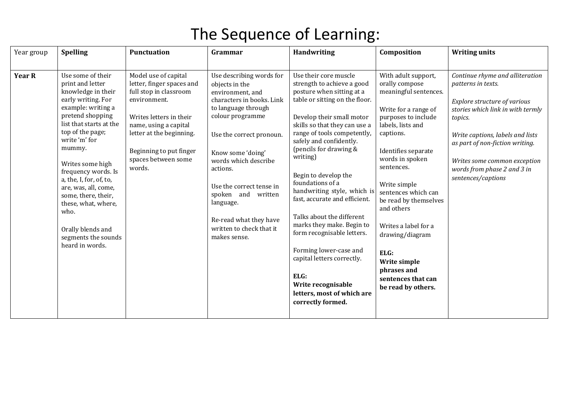## The Sequence of Learning:

| Year group    | <b>Spelling</b>                                                                                                                                                                                                                                                                                                                                                                                                          | <b>Punctuation</b>                                                                                                                                                                                                                      | Grammar                                                                                                                                                                                                                                                                                                                                                          | Handwriting                                                                                                                                                                                                                                                                                                                                                                                                                                                                                                                                                                                                                   | Composition                                                                                                                                                                                                                                                                                                                                                                                                         | <b>Writing units</b>                                                                                                                                                                                                                                                                              |
|---------------|--------------------------------------------------------------------------------------------------------------------------------------------------------------------------------------------------------------------------------------------------------------------------------------------------------------------------------------------------------------------------------------------------------------------------|-----------------------------------------------------------------------------------------------------------------------------------------------------------------------------------------------------------------------------------------|------------------------------------------------------------------------------------------------------------------------------------------------------------------------------------------------------------------------------------------------------------------------------------------------------------------------------------------------------------------|-------------------------------------------------------------------------------------------------------------------------------------------------------------------------------------------------------------------------------------------------------------------------------------------------------------------------------------------------------------------------------------------------------------------------------------------------------------------------------------------------------------------------------------------------------------------------------------------------------------------------------|---------------------------------------------------------------------------------------------------------------------------------------------------------------------------------------------------------------------------------------------------------------------------------------------------------------------------------------------------------------------------------------------------------------------|---------------------------------------------------------------------------------------------------------------------------------------------------------------------------------------------------------------------------------------------------------------------------------------------------|
|               |                                                                                                                                                                                                                                                                                                                                                                                                                          |                                                                                                                                                                                                                                         |                                                                                                                                                                                                                                                                                                                                                                  |                                                                                                                                                                                                                                                                                                                                                                                                                                                                                                                                                                                                                               |                                                                                                                                                                                                                                                                                                                                                                                                                     |                                                                                                                                                                                                                                                                                                   |
| <b>Year R</b> | Use some of their<br>print and letter<br>knowledge in their<br>early writing. For<br>example: writing a<br>pretend shopping<br>list that starts at the<br>top of the page;<br>write 'm' for<br>mummy.<br>Writes some high<br>frequency words. Is<br>a, the, I, for, of, to,<br>are, was, all, come,<br>some, there, their,<br>these, what, where,<br>who.<br>Orally blends and<br>segments the sounds<br>heard in words. | Model use of capital<br>letter, finger spaces and<br>full stop in classroom<br>environment.<br>Writes letters in their<br>name, using a capital<br>letter at the beginning.<br>Beginning to put finger<br>spaces between some<br>words. | Use describing words for<br>objects in the<br>environment, and<br>characters in books. Link<br>to language through<br>colour programme<br>Use the correct pronoun.<br>Know some 'doing'<br>words which describe<br>actions.<br>Use the correct tense in<br>spoken and written<br>language.<br>Re-read what they have<br>written to check that it<br>makes sense. | Use their core muscle<br>strength to achieve a good<br>posture when sitting at a<br>table or sitting on the floor.<br>Develop their small motor<br>skills so that they can use a<br>range of tools competently,<br>safely and confidently.<br>(pencils for drawing &<br>writing)<br>Begin to develop the<br>foundations of a<br>handwriting style, which is<br>fast, accurate and efficient.<br>Talks about the different<br>marks they make. Begin to<br>form recognisable letters.<br>Forming lower-case and<br>capital letters correctly.<br>ELG:<br>Write recognisable<br>letters, most of which are<br>correctly formed. | With adult support,<br>orally compose<br>meaningful sentences.<br>Write for a range of<br>purposes to include<br>labels, lists and<br>captions.<br>Identifies separate<br>words in spoken<br>sentences.<br>Write simple<br>sentences which can<br>be read by themselves<br>and others<br>Writes a label for a<br>drawing/diagram<br>ELG:<br>Write simple<br>phrases and<br>sentences that can<br>be read by others. | Continue rhyme and alliteration<br>patterns in texts.<br>Explore structure of various<br>stories which link in with termly<br>topics.<br>Write captions, labels and lists<br>as part of non-fiction writing.<br>Writes some common exception<br>words from phase 2 and 3 in<br>sentences/captions |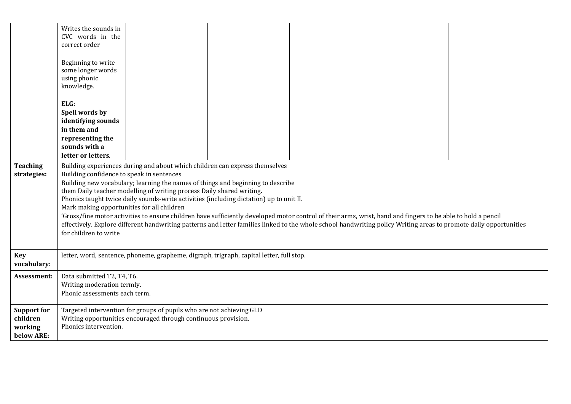| <b>Teaching</b><br>strategies:                          | Writes the sounds in<br>CVC words in the<br>correct order<br>Beginning to write<br>some longer words<br>using phonic<br>knowledge.<br>ELG:<br>Spell words by<br>identifying sounds<br>in them and<br>representing the<br>sounds with a<br>letter or letters.<br>Building experiences during and about which children can express themselves<br>Building confidence to speak in sentences<br>Building new vocabulary; learning the names of things and beginning to describe |  |  |  |
|---------------------------------------------------------|-----------------------------------------------------------------------------------------------------------------------------------------------------------------------------------------------------------------------------------------------------------------------------------------------------------------------------------------------------------------------------------------------------------------------------------------------------------------------------|--|--|--|
|                                                         | them Daily teacher modelling of writing process Daily shared writing.<br>Phonics taught twice daily sounds-write activities (including dictation) up to unit II.                                                                                                                                                                                                                                                                                                            |  |  |  |
|                                                         | Mark making opportunities for all children<br>'Gross/fine motor activities to ensure children have sufficiently developed motor control of their arms, wrist, hand and fingers to be able to hold a pencil<br>effectively. Explore different handwriting patterns and letter families linked to the whole school handwriting policy Writing areas to promote daily opportunities                                                                                            |  |  |  |
|                                                         | for children to write                                                                                                                                                                                                                                                                                                                                                                                                                                                       |  |  |  |
| Key<br>vocabulary:                                      | letter, word, sentence, phoneme, grapheme, digraph, trigraph, capital letter, full stop.                                                                                                                                                                                                                                                                                                                                                                                    |  |  |  |
| Assessment:                                             | Data submitted T2, T4, T6.<br>Writing moderation termly.                                                                                                                                                                                                                                                                                                                                                                                                                    |  |  |  |
|                                                         | Phonic assessments each term.                                                                                                                                                                                                                                                                                                                                                                                                                                               |  |  |  |
| <b>Support for</b><br>children<br>working<br>below ARE: | Targeted intervention for groups of pupils who are not achieving GLD<br>Writing opportunities encouraged through continuous provision.<br>Phonics intervention.                                                                                                                                                                                                                                                                                                             |  |  |  |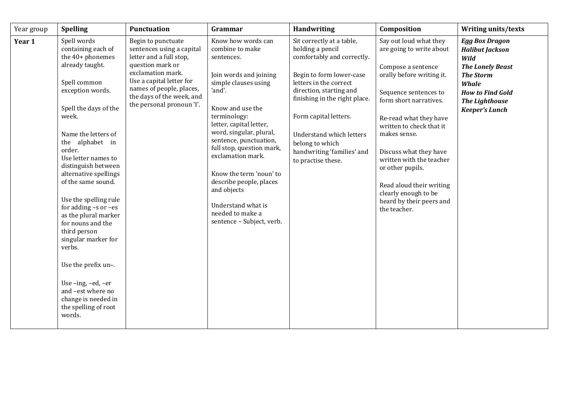| Year group | <b>Spelling</b>                                                                                                                                                                                                                                                                                                                                                                                                                                                                                                                                                              | <b>Punctuation</b>                                                                                                                                                                                                                    | Grammar                                                                                                                                                                                                                                                                                                                                                                                                                           | Handwriting                                                                                                                                                                                                                                                                                                                      | Composition                                                                                                                                                                                                                                                                                                                                                                                              | Writing units/texts                                                                                                                                                                                 |
|------------|------------------------------------------------------------------------------------------------------------------------------------------------------------------------------------------------------------------------------------------------------------------------------------------------------------------------------------------------------------------------------------------------------------------------------------------------------------------------------------------------------------------------------------------------------------------------------|---------------------------------------------------------------------------------------------------------------------------------------------------------------------------------------------------------------------------------------|-----------------------------------------------------------------------------------------------------------------------------------------------------------------------------------------------------------------------------------------------------------------------------------------------------------------------------------------------------------------------------------------------------------------------------------|----------------------------------------------------------------------------------------------------------------------------------------------------------------------------------------------------------------------------------------------------------------------------------------------------------------------------------|----------------------------------------------------------------------------------------------------------------------------------------------------------------------------------------------------------------------------------------------------------------------------------------------------------------------------------------------------------------------------------------------------------|-----------------------------------------------------------------------------------------------------------------------------------------------------------------------------------------------------|
| Year 1     | Spell words<br>containing each of<br>the 40+ phonemes<br>already taught.<br>Spell common<br>exception words.<br>Spell the days of the<br>week.<br>Name the letters of<br>the alphabet in<br>order.<br>Use letter names to<br>distinguish between<br>alternative spellings<br>of the same sound.<br>Use the spelling rule<br>for adding $-s$ or $-es$<br>as the plural marker<br>for nouns and the<br>third person<br>singular marker for<br>verbs.<br>Use the prefix un-.<br>Use-ing, -ed, -er<br>and -est where no<br>change is needed in<br>the spelling of root<br>words. | Begin to punctuate<br>sentences using a capital<br>letter and a full stop,<br>question mark or<br>exclamation mark.<br>Use a capital letter for<br>names of people, places,<br>the days of the week, and<br>the personal pronoun 'I'. | Know how words can<br>combine to make<br>sentences.<br>Join words and joining<br>simple clauses using<br>'and'.<br>Know and use the<br>terminology:<br>letter, capital letter,<br>word, singular, plural,<br>sentence, punctuation,<br>full stop, question mark,<br>exclamation mark.<br>Know the term 'noun' to<br>describe people, places<br>and objects<br>Understand what is<br>needed to make a<br>sentence - Subject, verb. | Sit correctly at a table,<br>holding a pencil<br>comfortably and correctly.<br>Begin to form lower-case<br>letters in the correct<br>direction, starting and<br>finishing in the right place.<br>Form capital letters.<br><b>Understand which letters</b><br>belong to which<br>handwriting 'families' and<br>to practise these. | Say out loud what they<br>are going to write about<br>Compose a sentence<br>orally before writing it.<br>Sequence sentences to<br>form short narratives.<br>Re-read what they have<br>written to check that it<br>makes sense.<br>Discuss what they have<br>written with the teacher<br>or other pupils.<br>Read aloud their writing<br>clearly enough to be<br>heard by their peers and<br>the teacher. | <b>Egg Box Dragon</b><br><b>Halibut Jackson</b><br>Wild<br><b>The Lonely Beast</b><br><b>The Storm</b><br><b>Whale</b><br><b>How to Find Gold</b><br><b>The Lighthouse</b><br><b>Keeper's Lunch</b> |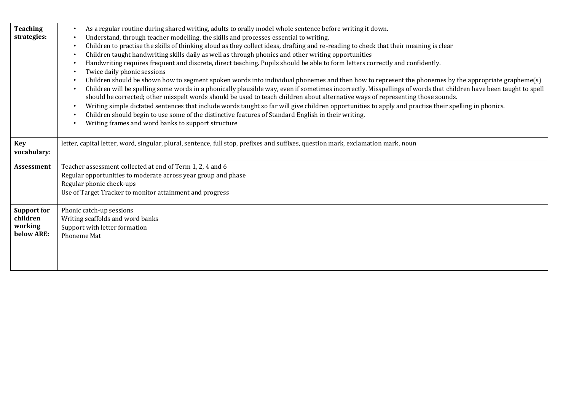| <b>Teaching</b><br>strategies:                          | As a regular routine during shared writing, adults to orally model whole sentence before writing it down.<br>Understand, through teacher modelling, the skills and processes essential to writing.<br>Children to practise the skills of thinking aloud as they collect ideas, drafting and re-reading to check that their meaning is clear<br>Children taught handwriting skills daily as well as through phonics and other writing opportunities<br>Handwriting requires frequent and discrete, direct teaching. Pupils should be able to form letters correctly and confidently.<br>Twice daily phonic sessions<br>Children should be shown how to segment spoken words into individual phonemes and then how to represent the phonemes by the appropriate grapheme(s)<br>Children will be spelling some words in a phonically plausible way, even if sometimes incorrectly. Misspellings of words that children have been taught to spell<br>should be corrected; other misspelt words should be used to teach children about alternative ways of representing those sounds.<br>Writing simple dictated sentences that include words taught so far will give children opportunities to apply and practise their spelling in phonics.<br>Children should begin to use some of the distinctive features of Standard English in their writing.<br>Writing frames and word banks to support structure |  |  |  |  |
|---------------------------------------------------------|-------------------------------------------------------------------------------------------------------------------------------------------------------------------------------------------------------------------------------------------------------------------------------------------------------------------------------------------------------------------------------------------------------------------------------------------------------------------------------------------------------------------------------------------------------------------------------------------------------------------------------------------------------------------------------------------------------------------------------------------------------------------------------------------------------------------------------------------------------------------------------------------------------------------------------------------------------------------------------------------------------------------------------------------------------------------------------------------------------------------------------------------------------------------------------------------------------------------------------------------------------------------------------------------------------------------------------------------------------------------------------------------------------|--|--|--|--|
| <b>Key</b><br>vocabulary:                               | letter, capital letter, word, singular, plural, sentence, full stop, prefixes and suffixes, question mark, exclamation mark, noun                                                                                                                                                                                                                                                                                                                                                                                                                                                                                                                                                                                                                                                                                                                                                                                                                                                                                                                                                                                                                                                                                                                                                                                                                                                                     |  |  |  |  |
| <b>Assessment</b>                                       | Teacher assessment collected at end of Term 1, 2, 4 and 6<br>Regular opportunities to moderate across year group and phase<br>Regular phonic check-ups<br>Use of Target Tracker to monitor attainment and progress                                                                                                                                                                                                                                                                                                                                                                                                                                                                                                                                                                                                                                                                                                                                                                                                                                                                                                                                                                                                                                                                                                                                                                                    |  |  |  |  |
| <b>Support for</b><br>children<br>working<br>below ARE: | Phonic catch-up sessions<br>Writing scaffolds and word banks<br>Support with letter formation<br><b>Phoneme Mat</b>                                                                                                                                                                                                                                                                                                                                                                                                                                                                                                                                                                                                                                                                                                                                                                                                                                                                                                                                                                                                                                                                                                                                                                                                                                                                                   |  |  |  |  |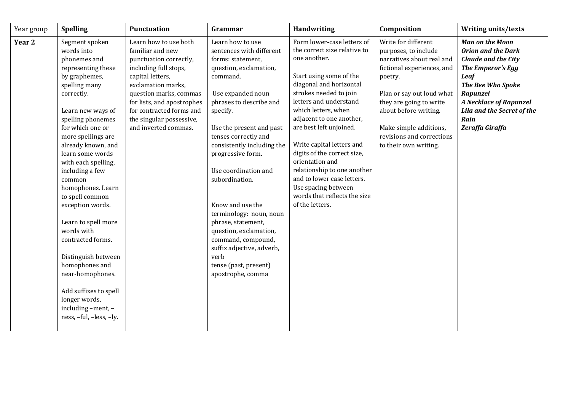| Year group | <b>Spelling</b>                                                                                                                                                                                                                                                                                                                                                                                                                                                                                                                                                                    | <b>Punctuation</b>                                                                                                                                                                                                                                                             | Grammar                                                                                                                                                                                                                                                                                                                                                                                                                                                                                                                      | Handwriting                                                                                                                                                                                                                                                                                                                                                                                                                                                                              | Composition                                                                                                                                                                                                                                                                        | Writing units/texts                                                                                                                                                                                                                                     |
|------------|------------------------------------------------------------------------------------------------------------------------------------------------------------------------------------------------------------------------------------------------------------------------------------------------------------------------------------------------------------------------------------------------------------------------------------------------------------------------------------------------------------------------------------------------------------------------------------|--------------------------------------------------------------------------------------------------------------------------------------------------------------------------------------------------------------------------------------------------------------------------------|------------------------------------------------------------------------------------------------------------------------------------------------------------------------------------------------------------------------------------------------------------------------------------------------------------------------------------------------------------------------------------------------------------------------------------------------------------------------------------------------------------------------------|------------------------------------------------------------------------------------------------------------------------------------------------------------------------------------------------------------------------------------------------------------------------------------------------------------------------------------------------------------------------------------------------------------------------------------------------------------------------------------------|------------------------------------------------------------------------------------------------------------------------------------------------------------------------------------------------------------------------------------------------------------------------------------|---------------------------------------------------------------------------------------------------------------------------------------------------------------------------------------------------------------------------------------------------------|
| Year 2     | Segment spoken<br>words into<br>phonemes and<br>representing these<br>by graphemes,<br>spelling many<br>correctly.<br>Learn new ways of<br>spelling phonemes<br>for which one or<br>more spellings are<br>already known, and<br>learn some words<br>with each spelling,<br>including a few<br>common<br>homophones. Learn<br>to spell common<br>exception words.<br>Learn to spell more<br>words with<br>contracted forms.<br>Distinguish between<br>homophones and<br>near-homophones.<br>Add suffixes to spell<br>longer words,<br>including -ment, -<br>ness, -ful, -less, -ly. | Learn how to use both<br>familiar and new<br>punctuation correctly,<br>including full stops,<br>capital letters,<br>exclamation marks,<br>question marks, commas<br>for lists, and apostrophes<br>for contracted forms and<br>the singular possessive,<br>and inverted commas. | Learn how to use<br>sentences with different<br>forms: statement,<br>question, exclamation,<br>command.<br>Use expanded noun<br>phrases to describe and<br>specify.<br>Use the present and past<br>tenses correctly and<br>consistently including the<br>progressive form.<br>Use coordination and<br>subordination.<br>Know and use the<br>terminology: noun, noun<br>phrase, statement,<br>question, exclamation,<br>command, compound,<br>suffix adjective, adverb,<br>verb<br>tense (past, present)<br>apostrophe, comma | Form lower-case letters of<br>the correct size relative to<br>one another.<br>Start using some of the<br>diagonal and horizontal<br>strokes needed to join<br>letters and understand<br>which letters, when<br>adjacent to one another,<br>are best left unjoined.<br>Write capital letters and<br>digits of the correct size,<br>orientation and<br>relationship to one another<br>and to lower case letters.<br>Use spacing between<br>words that reflects the size<br>of the letters. | Write for different<br>purposes, to include<br>narratives about real and<br>fictional experiences, and<br>poetry.<br>Plan or say out loud what<br>they are going to write<br>about before writing.<br>Make simple additions,<br>revisions and corrections<br>to their own writing. | <b>Man on the Moon</b><br><b>Orion and the Dark</b><br><b>Claude and the City</b><br>The Emperor's Egg<br><b>Leaf</b><br><b>The Bee Who Spoke</b><br>Rapunzel<br><b>A Necklace of Rapunzel</b><br>Lila and the Secret of the<br>Rain<br>Zeraffa Giraffa |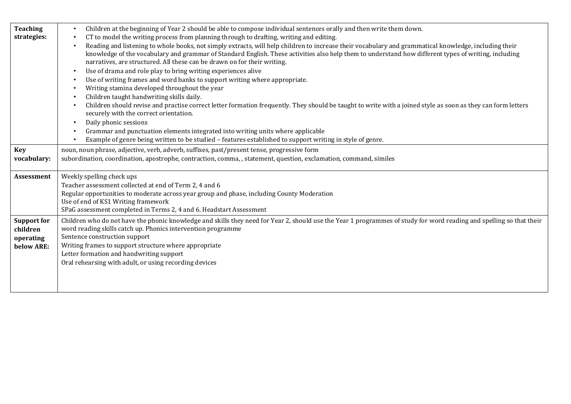| <b>Teaching</b>    | Children at the beginning of Year 2 should be able to compose individual sentences orally and then write them down.                                                                                                                                                                                                                                                                       |  |  |  |  |  |  |
|--------------------|-------------------------------------------------------------------------------------------------------------------------------------------------------------------------------------------------------------------------------------------------------------------------------------------------------------------------------------------------------------------------------------------|--|--|--|--|--|--|
| strategies:        | CT to model the writing process from planning through to drafting, writing and editing.                                                                                                                                                                                                                                                                                                   |  |  |  |  |  |  |
|                    | Reading and listening to whole books, not simply extracts, will help children to increase their vocabulary and grammatical knowledge, including their<br>knowledge of the vocabulary and grammar of Standard English. These activities also help them to understand how different types of writing, including<br>narratives, are structured. All these can be drawn on for their writing. |  |  |  |  |  |  |
|                    | Use of drama and role play to bring writing experiences alive<br>$\bullet$                                                                                                                                                                                                                                                                                                                |  |  |  |  |  |  |
|                    | Use of writing frames and word banks to support writing where appropriate.<br>Writing stamina developed throughout the year                                                                                                                                                                                                                                                               |  |  |  |  |  |  |
|                    | Children taught handwriting skills daily.                                                                                                                                                                                                                                                                                                                                                 |  |  |  |  |  |  |
|                    | Children should revise and practise correct letter formation frequently. They should be taught to write with a joined style as soon as they can form letters                                                                                                                                                                                                                              |  |  |  |  |  |  |
|                    | securely with the correct orientation.                                                                                                                                                                                                                                                                                                                                                    |  |  |  |  |  |  |
|                    | Daily phonic sessions                                                                                                                                                                                                                                                                                                                                                                     |  |  |  |  |  |  |
|                    | Grammar and punctuation elements integrated into writing units where applicable                                                                                                                                                                                                                                                                                                           |  |  |  |  |  |  |
|                    | Example of genre being written to be studied - features established to support writing in style of genre.                                                                                                                                                                                                                                                                                 |  |  |  |  |  |  |
| <b>Key</b>         | noun, noun phrase, adjective, verb, adverb, suffixes, past/present tense, progressive form                                                                                                                                                                                                                                                                                                |  |  |  |  |  |  |
| vocabulary:        | subordination, coordination, apostrophe, contraction, comma, , statement, question, exclamation, command, similes                                                                                                                                                                                                                                                                         |  |  |  |  |  |  |
|                    |                                                                                                                                                                                                                                                                                                                                                                                           |  |  |  |  |  |  |
| <b>Assessment</b>  | Weekly spelling check ups                                                                                                                                                                                                                                                                                                                                                                 |  |  |  |  |  |  |
|                    | Teacher assessment collected at end of Term 2, 4 and 6                                                                                                                                                                                                                                                                                                                                    |  |  |  |  |  |  |
|                    | Regular opportunities to moderate across year group and phase, including County Moderation                                                                                                                                                                                                                                                                                                |  |  |  |  |  |  |
|                    | Use of end of KS1 Writing framework<br>SPaG assessment completed in Terms 2, 4 and 6. Headstart Assessment                                                                                                                                                                                                                                                                                |  |  |  |  |  |  |
|                    |                                                                                                                                                                                                                                                                                                                                                                                           |  |  |  |  |  |  |
| <b>Support for</b> | Children who do not have the phonic knowledge and skills they need for Year 2, should use the Year 1 programmes of study for word reading and spelling so that their                                                                                                                                                                                                                      |  |  |  |  |  |  |
| children           | word reading skills catch up. Phonics intervention programme<br>Sentence construction support                                                                                                                                                                                                                                                                                             |  |  |  |  |  |  |
| operating          | Writing frames to support structure where appropriate                                                                                                                                                                                                                                                                                                                                     |  |  |  |  |  |  |
| below ARE:         | Letter formation and handwriting support                                                                                                                                                                                                                                                                                                                                                  |  |  |  |  |  |  |
|                    | Oral rehearsing with adult, or using recording devices                                                                                                                                                                                                                                                                                                                                    |  |  |  |  |  |  |
|                    |                                                                                                                                                                                                                                                                                                                                                                                           |  |  |  |  |  |  |
|                    |                                                                                                                                                                                                                                                                                                                                                                                           |  |  |  |  |  |  |
|                    |                                                                                                                                                                                                                                                                                                                                                                                           |  |  |  |  |  |  |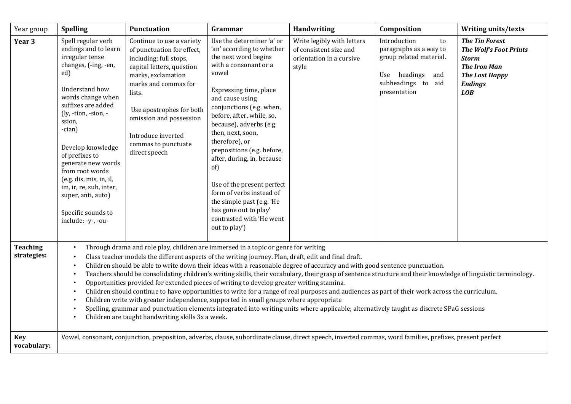| Year group                     | <b>Spelling</b>                                                                                                                                                                                                                                                                                                                                                                                               | <b>Punctuation</b>                                                                                                                                                                                                                                                                          | Grammar                                                                                                                                                                                                                                                                                                                                                                                                                                                                                                                  | Handwriting                                                                                                                                                                                                                                                                                                                                                                                                                                                                                                                                                                                  | Composition                                                                                                                          | <b>Writing units/texts</b>                                                                                                                             |
|--------------------------------|---------------------------------------------------------------------------------------------------------------------------------------------------------------------------------------------------------------------------------------------------------------------------------------------------------------------------------------------------------------------------------------------------------------|---------------------------------------------------------------------------------------------------------------------------------------------------------------------------------------------------------------------------------------------------------------------------------------------|--------------------------------------------------------------------------------------------------------------------------------------------------------------------------------------------------------------------------------------------------------------------------------------------------------------------------------------------------------------------------------------------------------------------------------------------------------------------------------------------------------------------------|----------------------------------------------------------------------------------------------------------------------------------------------------------------------------------------------------------------------------------------------------------------------------------------------------------------------------------------------------------------------------------------------------------------------------------------------------------------------------------------------------------------------------------------------------------------------------------------------|--------------------------------------------------------------------------------------------------------------------------------------|--------------------------------------------------------------------------------------------------------------------------------------------------------|
| Year 3                         | Spell regular verb<br>endings and to learn<br>irregular tense<br>changes, (-ing, -en,<br>ed)<br>Understand how<br>words change when<br>suffixes are added<br>(ly, -tion, -sion, -<br>ssion,<br>-cian)<br>Develop knowledge<br>of prefixes to<br>generate new words<br>from root words<br>(e.g. dis, mis, in, il,<br>im, ir, re, sub, inter,<br>super, anti, auto)<br>Specific sounds to<br>include: -y-, -ou- | Continue to use a variety<br>of punctuation for effect,<br>including: full stops,<br>capital letters, question<br>marks, exclamation<br>marks and commas for<br>lists.<br>Use apostrophes for both<br>omission and possession<br>Introduce inverted<br>commas to punctuate<br>direct speech | Use the determiner 'a' or<br>'an' according to whether<br>the next word begins<br>with a consonant or a<br>vowel<br>Expressing time, place<br>and cause using<br>conjunctions (e.g. when,<br>before, after, while, so,<br>because), adverbs (e.g.<br>then, next, soon,<br>therefore), or<br>prepositions (e.g. before,<br>after, during, in, because<br>of)<br>Use of the present perfect<br>form of verbs instead of<br>the simple past (e.g. 'He<br>has gone out to play'<br>contrasted with 'He went<br>out to play') | Write legibly with letters<br>of consistent size and<br>orientation in a cursive<br>style                                                                                                                                                                                                                                                                                                                                                                                                                                                                                                    | Introduction<br>to<br>paragraphs as a way to<br>group related material.<br>Use headings<br>and<br>subheadings to aid<br>presentation | <b>The Tin Forest</b><br><b>The Wolf's Foot Prints</b><br><b>Storm</b><br><b>The Iron Man</b><br><b>The Lost Happy</b><br><b>Endings</b><br><b>LOB</b> |
| <b>Teaching</b><br>strategies: | $\bullet$                                                                                                                                                                                                                                                                                                                                                                                                     | Children are taught handwriting skills 3x a week.                                                                                                                                                                                                                                           | Through drama and role play, children are immersed in a topic or genre for writing<br>Class teacher models the different aspects of the writing journey. Plan, draft, edit and final draft.<br>Opportunities provided for extended pieces of writing to develop greater writing stamina.<br>Children write with greater independence, supported in small groups where appropriate                                                                                                                                        | Children should be able to write down their ideas with a reasonable degree of accuracy and with good sentence punctuation.<br>Teachers should be consolidating children's writing skills, their vocabulary, their grasp of sentence structure and their knowledge of linguistic terminology.<br>Children should continue to have opportunities to write for a range of real purposes and audiences as part of their work across the curriculum.<br>Spelling, grammar and punctuation elements integrated into writing units where applicable; alternatively taught as discrete SPaG sessions |                                                                                                                                      |                                                                                                                                                        |
| <b>Key</b><br>vocabulary:      |                                                                                                                                                                                                                                                                                                                                                                                                               |                                                                                                                                                                                                                                                                                             |                                                                                                                                                                                                                                                                                                                                                                                                                                                                                                                          | Vowel, consonant, conjunction, preposition, adverbs, clause, subordinate clause, direct speech, inverted commas, word families, prefixes, present perfect                                                                                                                                                                                                                                                                                                                                                                                                                                    |                                                                                                                                      |                                                                                                                                                        |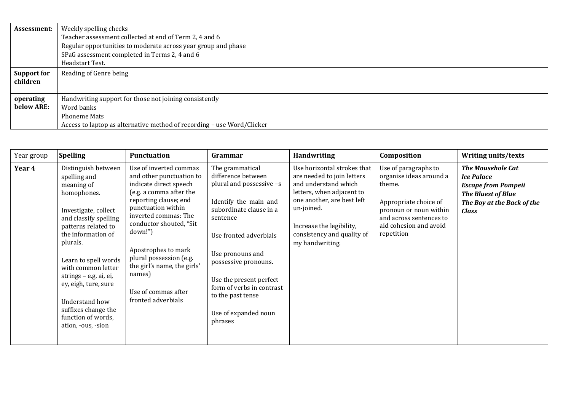| Assessment:        | Weekly spelling checks                                                 |  |  |  |  |
|--------------------|------------------------------------------------------------------------|--|--|--|--|
|                    | Teacher assessment collected at end of Term 2, 4 and 6                 |  |  |  |  |
|                    | Regular opportunities to moderate across year group and phase          |  |  |  |  |
|                    | SPaG assessment completed in Terms 2, 4 and 6                          |  |  |  |  |
|                    | Headstart Test.                                                        |  |  |  |  |
| <b>Support for</b> | Reading of Genre being                                                 |  |  |  |  |
| children           |                                                                        |  |  |  |  |
|                    |                                                                        |  |  |  |  |
| operating          | Handwriting support for those not joining consistently                 |  |  |  |  |
| below ARE:         | Word banks                                                             |  |  |  |  |
|                    | <b>Phoneme Mats</b>                                                    |  |  |  |  |
|                    | Access to laptop as alternative method of recording - use Word/Clicker |  |  |  |  |

| Year group | <b>Spelling</b>                                                                                                                                                                                                                                                                                                                                                 | <b>Punctuation</b>                                                                                                                                                                                                                                                                                                                                           | Grammar                                                                                                                                                                                                                                                                                                                 | <b>Handwriting</b>                                                                                                                                                                                                                      | Composition                                                                                                                                                                     | <b>Writing units/texts</b>                                                                                                                             |
|------------|-----------------------------------------------------------------------------------------------------------------------------------------------------------------------------------------------------------------------------------------------------------------------------------------------------------------------------------------------------------------|--------------------------------------------------------------------------------------------------------------------------------------------------------------------------------------------------------------------------------------------------------------------------------------------------------------------------------------------------------------|-------------------------------------------------------------------------------------------------------------------------------------------------------------------------------------------------------------------------------------------------------------------------------------------------------------------------|-----------------------------------------------------------------------------------------------------------------------------------------------------------------------------------------------------------------------------------------|---------------------------------------------------------------------------------------------------------------------------------------------------------------------------------|--------------------------------------------------------------------------------------------------------------------------------------------------------|
| Year 4     | Distinguish between<br>spelling and<br>meaning of<br>homophones.<br>Investigate, collect<br>and classify spelling<br>patterns related to<br>the information of<br>plurals.<br>Learn to spell words<br>with common letter<br>strings - e.g. ai, ei,<br>ey, eigh, ture, sure<br>Understand how<br>suffixes change the<br>function of words,<br>ation, -ous, -sion | Use of inverted commas<br>and other punctuation to<br>indicate direct speech<br>(e.g. a comma after the<br>reporting clause; end<br>punctuation within<br>inverted commas: The<br>conductor shouted, "Sit<br>down!")<br>Apostrophes to mark<br>plural possession (e.g.<br>the girl's name, the girls'<br>names)<br>Use of commas after<br>fronted adverbials | The grammatical<br>difference between<br>plural and possessive -s<br>Identify the main and<br>subordinate clause in a<br>sentence<br>Use fronted adverbials<br>Use pronouns and<br>possessive pronouns.<br>Use the present perfect<br>form of verbs in contrast<br>to the past tense<br>Use of expanded noun<br>phrases | Use horizontal strokes that<br>are needed to join letters<br>and understand which<br>letters, when adjacent to<br>one another, are best left<br>un-joined.<br>Increase the legibility,<br>consistency and quality of<br>my handwriting. | Use of paragraphs to<br>organise ideas around a<br>theme.<br>Appropriate choice of<br>pronoun or noun within<br>and across sentences to<br>aid cohesion and avoid<br>repetition | <b>The Mousehole Cat</b><br><b>Ice Palace</b><br><b>Escape from Pompeii</b><br><b>The Bluest of Blue</b><br>The Boy at the Back of the<br><b>Class</b> |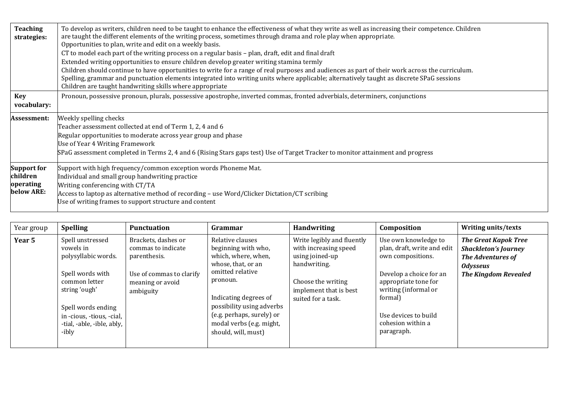| <b>Teaching</b><br>strategies:                            | To develop as writers, children need to be taught to enhance the effectiveness of what they write as well as increasing their competence. Children<br>are taught the different elements of the writing process, sometimes through drama and role play when appropriate.<br>Opportunities to plan, write and edit on a weekly basis.<br>CT to model each part of the writing process on a regular basis - plan, draft, edit and final draft<br>Extended writing opportunities to ensure children develop greater writing stamina termly<br>Children should continue to have opportunities to write for a range of real purposes and audiences as part of their work across the curriculum.<br>Spelling, grammar and punctuation elements integrated into writing units where applicable; alternatively taught as discrete SPaG sessions<br>Children are taught handwriting skills where appropriate |
|-----------------------------------------------------------|----------------------------------------------------------------------------------------------------------------------------------------------------------------------------------------------------------------------------------------------------------------------------------------------------------------------------------------------------------------------------------------------------------------------------------------------------------------------------------------------------------------------------------------------------------------------------------------------------------------------------------------------------------------------------------------------------------------------------------------------------------------------------------------------------------------------------------------------------------------------------------------------------|
| <b>Key</b><br>vocabulary:                                 | Pronoun, possessive pronoun, plurals, possessive apostrophe, inverted commas, fronted adverbials, determiners, conjunctions                                                                                                                                                                                                                                                                                                                                                                                                                                                                                                                                                                                                                                                                                                                                                                        |
| Assessment:                                               | Weekly spelling checks<br>Teacher assessment collected at end of Term 1, 2, 4 and 6<br>Regular opportunities to moderate across year group and phase<br>Use of Year 4 Writing Framework<br>SPaG assessment completed in Terms 2, 4 and 6 (Rising Stars gaps test) Use of Target Tracker to monitor attainment and progress                                                                                                                                                                                                                                                                                                                                                                                                                                                                                                                                                                         |
| <b>Support for</b><br>children<br>operating<br>below ARE: | Support with high frequency/common exception words Phoneme Mat.<br>Individual and small group handwriting practice<br>Writing conferencing with CT/TA<br>Access to laptop as alternative method of recording – use Word/Clicker Dictation/CT scribing<br>Use of writing frames to support structure and content                                                                                                                                                                                                                                                                                                                                                                                                                                                                                                                                                                                    |

| Year group | <b>Spelling</b>                                                                                                                                                                                      | <b>Punctuation</b>                                                                                                     | Grammar                                                                                                                                                                                                                                                    | <b>Handwriting</b>                                                                                                                                           | Composition                                                                                                                                                                                                               | Writing units/texts                                                                                                               |
|------------|------------------------------------------------------------------------------------------------------------------------------------------------------------------------------------------------------|------------------------------------------------------------------------------------------------------------------------|------------------------------------------------------------------------------------------------------------------------------------------------------------------------------------------------------------------------------------------------------------|--------------------------------------------------------------------------------------------------------------------------------------------------------------|---------------------------------------------------------------------------------------------------------------------------------------------------------------------------------------------------------------------------|-----------------------------------------------------------------------------------------------------------------------------------|
| Year 5     | Spell unstressed<br>vowels in<br>polysyllabic words.<br>Spell words with<br>common letter<br>string 'ough'<br>Spell words ending<br>in -cious, -tious, -cial,<br>-tial, -able, -ible, ably,<br>-ibly | Brackets, dashes or<br>commas to indicate<br>parenthesis.<br>Use of commas to clarify<br>meaning or avoid<br>ambiguity | Relative clauses<br>beginning with who,<br>which, where, when,<br>whose, that, or an<br>omitted relative<br>pronoun.<br>Indicating degrees of<br>possibility using adverbs<br>(e.g. perhaps, surely) or<br>modal verbs (e.g. might,<br>should, will, must) | Write legibly and fluently<br>with increasing speed<br>using joined-up<br>handwriting.<br>Choose the writing<br>implement that is best<br>suited for a task. | Use own knowledge to<br>plan, draft, write and edit<br>own compositions.<br>Develop a choice for an<br>appropriate tone for<br>writing (informal or<br>formal)<br>Use devices to build<br>cohesion within a<br>paragraph. | <b>The Great Kapok Tree</b><br><b>Shackleton's Journey</b><br>The Adventures of<br><b>Odysseus</b><br><b>The Kingdom Revealed</b> |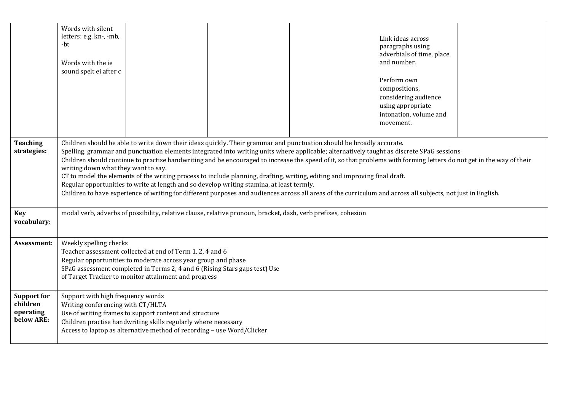|                                                           | Words with silent<br>letters: e.g. kn-, -mb,<br>-bt<br>Words with the ie<br>sound spelt ei after c                                                                                                                                                                                                                                                                                                                                                                                                                                                                                                                                                                                                                                                                                                                                                                          |                                                                                                                                                                                                    |  |  | Link ideas across<br>paragraphs using<br>adverbials of time, place<br>and number.<br>Perform own<br>compositions,<br>considering audience<br>using appropriate<br>intonation, volume and<br>movement. |  |  |  |
|-----------------------------------------------------------|-----------------------------------------------------------------------------------------------------------------------------------------------------------------------------------------------------------------------------------------------------------------------------------------------------------------------------------------------------------------------------------------------------------------------------------------------------------------------------------------------------------------------------------------------------------------------------------------------------------------------------------------------------------------------------------------------------------------------------------------------------------------------------------------------------------------------------------------------------------------------------|----------------------------------------------------------------------------------------------------------------------------------------------------------------------------------------------------|--|--|-------------------------------------------------------------------------------------------------------------------------------------------------------------------------------------------------------|--|--|--|
| <b>Teaching</b><br>strategies:                            | Children should be able to write down their ideas quickly. Their grammar and punctuation should be broadly accurate.<br>Spelling. grammar and punctuation elements integrated into writing units where applicable; alternatively taught as discrete SPaG sessions<br>Children should continue to practise handwriting and be encouraged to increase the speed of it, so that problems with forming letters do not get in the way of their<br>writing down what they want to say.<br>CT to model the elements of the writing process to include planning, drafting, writing, editing and improving final draft.<br>Regular opportunities to write at length and so develop writing stamina, at least termly.<br>Children to have experience of writing for different purposes and audiences across all areas of the curriculum and across all subjects, not just in English. |                                                                                                                                                                                                    |  |  |                                                                                                                                                                                                       |  |  |  |
| <b>Key</b><br>vocabulary:                                 | modal verb, adverbs of possibility, relative clause, relative pronoun, bracket, dash, verb prefixes, cohesion                                                                                                                                                                                                                                                                                                                                                                                                                                                                                                                                                                                                                                                                                                                                                               |                                                                                                                                                                                                    |  |  |                                                                                                                                                                                                       |  |  |  |
| Assessment:                                               | Weekly spelling checks<br>Teacher assessment collected at end of Term 1, 2, 4 and 6<br>Regular opportunities to moderate across year group and phase<br>SPaG assessment completed in Terms 2, 4 and 6 (Rising Stars gaps test) Use<br>of Target Tracker to monitor attainment and progress                                                                                                                                                                                                                                                                                                                                                                                                                                                                                                                                                                                  |                                                                                                                                                                                                    |  |  |                                                                                                                                                                                                       |  |  |  |
| <b>Support for</b><br>children<br>operating<br>below ARE: | Support with high frequency words<br>Writing conferencing with CT/HLTA                                                                                                                                                                                                                                                                                                                                                                                                                                                                                                                                                                                                                                                                                                                                                                                                      | Use of writing frames to support content and structure<br>Children practise handwriting skills regularly where necessary<br>Access to laptop as alternative method of recording - use Word/Clicker |  |  |                                                                                                                                                                                                       |  |  |  |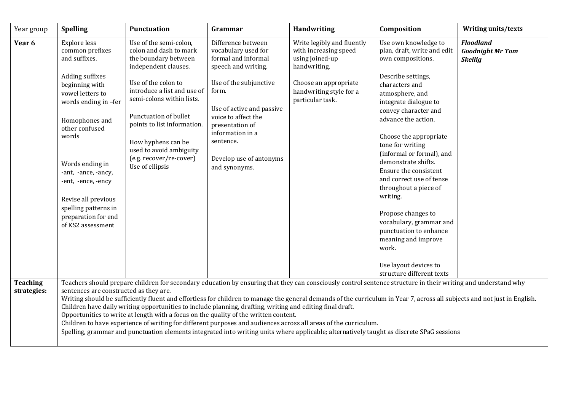| Year group                     | <b>Spelling</b>                                                                                                                                                                                                                                                                                                                                                                                                                                                                                                                                                                                                                                                                                                                                                                                                                                           | <b>Punctuation</b>                                                                                                                                                                                                                                                                                                                                | Grammar                                                                                                                                                                                                                                                                        | Handwriting                                                                                                                                                    | Composition                                                                                                                                                                                                                                                                                                                                                                                                                                                                                                                                                              | Writing units/texts                                           |
|--------------------------------|-----------------------------------------------------------------------------------------------------------------------------------------------------------------------------------------------------------------------------------------------------------------------------------------------------------------------------------------------------------------------------------------------------------------------------------------------------------------------------------------------------------------------------------------------------------------------------------------------------------------------------------------------------------------------------------------------------------------------------------------------------------------------------------------------------------------------------------------------------------|---------------------------------------------------------------------------------------------------------------------------------------------------------------------------------------------------------------------------------------------------------------------------------------------------------------------------------------------------|--------------------------------------------------------------------------------------------------------------------------------------------------------------------------------------------------------------------------------------------------------------------------------|----------------------------------------------------------------------------------------------------------------------------------------------------------------|--------------------------------------------------------------------------------------------------------------------------------------------------------------------------------------------------------------------------------------------------------------------------------------------------------------------------------------------------------------------------------------------------------------------------------------------------------------------------------------------------------------------------------------------------------------------------|---------------------------------------------------------------|
| Year 6                         | Explore less<br>common prefixes<br>and suffixes.<br>Adding suffixes<br>beginning with<br>vowel letters to<br>words ending in -fer<br>Homophones and<br>other confused<br>words<br>Words ending in<br>-ant, -ance, -ancy,<br>-ent, -ence, -ency<br>Revise all previous<br>spelling patterns in<br>preparation for end<br>of KS2 assessment                                                                                                                                                                                                                                                                                                                                                                                                                                                                                                                 | Use of the semi-colon,<br>colon and dash to mark<br>the boundary between<br>independent clauses.<br>Use of the colon to<br>introduce a list and use of<br>semi-colons within lists.<br><b>Punctuation of bullet</b><br>points to list information.<br>How hyphens can be<br>used to avoid ambiguity<br>(e.g. recover/re-cover)<br>Use of ellipsis | Difference between<br>vocabulary used for<br>formal and informal<br>speech and writing.<br>Use of the subjunctive<br>form.<br>Use of active and passive<br>voice to affect the<br>presentation of<br>information in a<br>sentence.<br>Develop use of antonyms<br>and synonyms. | Write legibly and fluently<br>with increasing speed<br>using joined-up<br>handwriting.<br>Choose an appropriate<br>handwriting style for a<br>particular task. | Use own knowledge to<br>plan, draft, write and edit<br>own compositions.<br>Describe settings,<br>characters and<br>atmosphere, and<br>integrate dialogue to<br>convey character and<br>advance the action.<br>Choose the appropriate<br>tone for writing<br>(informal or formal), and<br>demonstrate shifts.<br>Ensure the consistent<br>and correct use of tense<br>throughout a piece of<br>writing.<br>Propose changes to<br>vocabulary, grammar and<br>punctuation to enhance<br>meaning and improve<br>work.<br>Use layout devices to<br>structure different texts | <b>Floodland</b><br><b>Goodnight Mr Tom</b><br><b>Skellig</b> |
| <b>Teaching</b><br>strategies: | Teachers should prepare children for secondary education by ensuring that they can consciously control sentence structure in their writing and understand why<br>sentences are constructed as they are.<br>Writing should be sufficiently fluent and effortless for children to manage the general demands of the curriculum in Year 7, across all subjects and not just in English.<br>Children have daily writing opportunities to include planning, drafting, writing and editing final draft.<br>Opportunities to write at length with a focus on the quality of the written content.<br>Children to have experience of writing for different purposes and audiences across all areas of the curriculum.<br>Spelling, grammar and punctuation elements integrated into writing units where applicable; alternatively taught as discrete SPaG sessions |                                                                                                                                                                                                                                                                                                                                                   |                                                                                                                                                                                                                                                                                |                                                                                                                                                                |                                                                                                                                                                                                                                                                                                                                                                                                                                                                                                                                                                          |                                                               |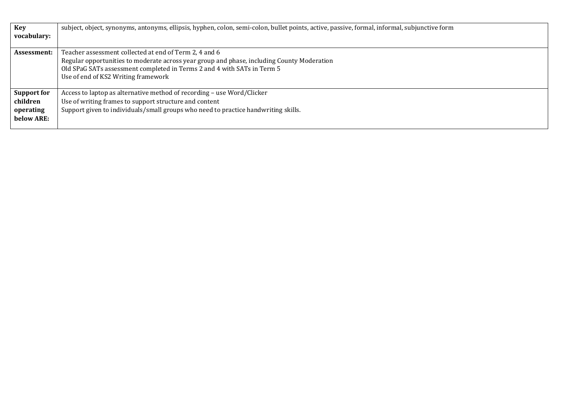| <b>Key</b>         | subject, object, synonyms, antonyms, ellipsis, hyphen, colon, semi-colon, bullet points, active, passive, formal, informal, subjunctive form |  |  |  |  |  |  |
|--------------------|----------------------------------------------------------------------------------------------------------------------------------------------|--|--|--|--|--|--|
| vocabulary:        |                                                                                                                                              |  |  |  |  |  |  |
|                    |                                                                                                                                              |  |  |  |  |  |  |
| Assessment:        | Teacher assessment collected at end of Term 2, 4 and 6                                                                                       |  |  |  |  |  |  |
|                    | Regular opportunities to moderate across year group and phase, including County Moderation                                                   |  |  |  |  |  |  |
|                    | Old SPaG SATs assessment completed in Terms 2 and 4 with SATs in Term 5                                                                      |  |  |  |  |  |  |
|                    | Use of end of KS2 Writing framework                                                                                                          |  |  |  |  |  |  |
|                    |                                                                                                                                              |  |  |  |  |  |  |
| <b>Support for</b> | Access to laptop as alternative method of recording - use Word/Clicker                                                                       |  |  |  |  |  |  |
| children           | Use of writing frames to support structure and content                                                                                       |  |  |  |  |  |  |
| operating          | Support given to individuals/small groups who need to practice handwriting skills.                                                           |  |  |  |  |  |  |
| below ARE:         |                                                                                                                                              |  |  |  |  |  |  |
|                    |                                                                                                                                              |  |  |  |  |  |  |